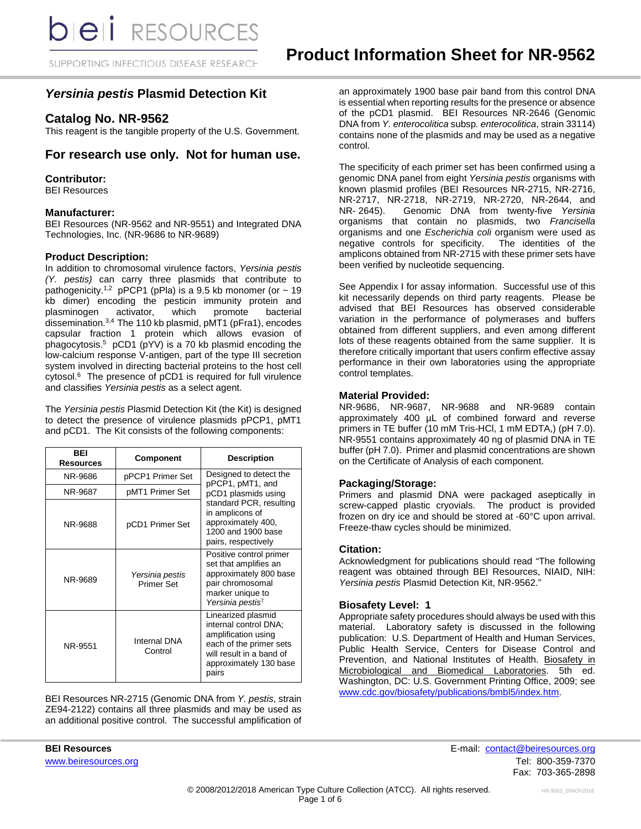## SUPPORTING INFECTIOUS DISEASE RESEARCH

## *Yersinia pestis* **Plasmid Detection Kit**

## **Catalog No. NR-9562**

This reagent is the tangible property of the U.S. Government.

## **For research use only. Not for human use.**

#### **Contributor:**

BEI Resources

#### **Manufacturer:**

BEI Resources (NR-9562 and NR-9551) and Integrated DNA Technologies, Inc. (NR-9686 to NR-9689)

#### **Product Description:**

In addition to chromosomal virulence factors, *Yersinia pestis (Y. pestis)* can carry three plasmids that contribute to pathogenicity.<sup>1,2</sup> pPCP1 (pPla) is a 9.5 kb monomer (or  $\sim$  19 kb dimer) encoding the pesticin immunity protein and plasminogen activator, which promote bacterial dissemination. 3,4 The 110 kb plasmid, pMT1 (pFra1), encodes capsular fraction 1 protein which allows evasion of phagocytosis. 5 pCD1 (pYV) is a 70 kb plasmid encoding the low-calcium response V-antigen, part of the type III secretion system involved in directing bacterial proteins to the host cell cytosol. 6 The presence of pCD1 is required for full virulence and classifies *Yersinia pestis* as a select agent.

The *Yersinia pestis* Plasmid Detection Kit (the Kit) is designed to detect the presence of virulence plasmids pPCP1, pMT1 and pCD1. The Kit consists of the following components:

| <b>BFI</b><br><b>Resources</b> | <b>Component</b>                     | <b>Description</b>                                                                                                                                           |
|--------------------------------|--------------------------------------|--------------------------------------------------------------------------------------------------------------------------------------------------------------|
| NR-9686                        | pPCP1 Primer Set                     | Designed to detect the<br>pPCP1, pMT1, and                                                                                                                   |
| NR-9687                        | pMT1 Primer Set                      | pCD1 plasmids using                                                                                                                                          |
| NR-9688                        | pCD1 Primer Set                      | standard PCR, resulting<br>in amplicons of<br>approximately 400,<br>1200 and 1900 base<br>pairs, respectively                                                |
| NR-9689                        | Yersinia pestis<br><b>Primer Set</b> | Positive control primer<br>set that amplifies an<br>approximately 800 base<br>pair chromosomal<br>marker unique to<br>Yersinia pestis <sup>7</sup>           |
| NR-9551                        | Internal DNA<br>Control              | Linearized plasmid<br>internal control DNA;<br>amplification using<br>each of the primer sets<br>will result in a band of<br>approximately 130 base<br>pairs |

BEI Resources NR-2715 (Genomic DNA from *Y. pestis*, strain ZE94-2122) contains all three plasmids and may be used as an additional positive control. The successful amplification of an approximately 1900 base pair band from this control DNA is essential when reporting results for the presence or absence of the pCD1 plasmid. BEI Resources NR-2646 (Genomic DNA from *Y. enterocolitica* subsp*. enterocolitica*, strain 33114) contains none of the plasmids and may be used as a negative control.

The specificity of each primer set has been confirmed using a genomic DNA panel from eight *Yersinia pestis* organisms with known plasmid profiles (BEI Resources NR-2715, NR-2716, NR-2717, NR-2718, NR-2719, NR-2720, NR-2644, and<br>NR-2645). Genomic DNA from twenty-five Yersinia Genomic DNA from twenty-five Yersinia organisms that contain no plasmids, two *Francisella* organisms and one *Escherichia coli* organism were used as negative controls for specificity. The identities of the amplicons obtained from NR-2715 with these primer sets have been verified by nucleotide sequencing.

See Appendix I for assay information. Successful use of this kit necessarily depends on third party reagents. Please be advised that BEI Resources has observed considerable variation in the performance of polymerases and buffers obtained from different suppliers, and even among different lots of these reagents obtained from the same supplier. It is therefore critically important that users confirm effective assay performance in their own laboratories using the appropriate control templates.

#### **Material Provided:**

NR-9686, NR-9687, NR-9688 and NR-9689 contain approximately 400 µL of combined forward and reverse primers in TE buffer (10 mM Tris-HCl, 1 mM EDTA,) (pH 7.0). NR-9551 contains approximately 40 ng of plasmid DNA in TE buffer (pH 7.0). Primer and plasmid concentrations are shown on the Certificate of Analysis of each component.

#### **Packaging/Storage:**

Primers and plasmid DNA were packaged aseptically in screw-capped plastic cryovials. The product is provided frozen on dry ice and should be stored at -60°C upon arrival. Freeze-thaw cycles should be minimized.

#### **Citation:**

Acknowledgment for publications should read "The following reagent was obtained through BEI Resources, NIAID, NIH: *Yersinia pestis* Plasmid Detection Kit, NR-9562."

#### **Biosafety Level: 1**

Appropriate safety procedures should always be used with this material. Laboratory safety is discussed in the following publication: U.S. Department of Health and Human Services, Public Health Service, Centers for Disease Control and Prevention, and National Institutes of Health. Biosafety in Microbiological and Biomedical Laboratories. 5th ed. Washington, DC: U.S. Government Printing Office, 2009; see [www.cdc.gov/biosafety/publications/bmbl5/index.htm.](http://www.cdc.gov/biosafety/publications/bmbl5/index.htm)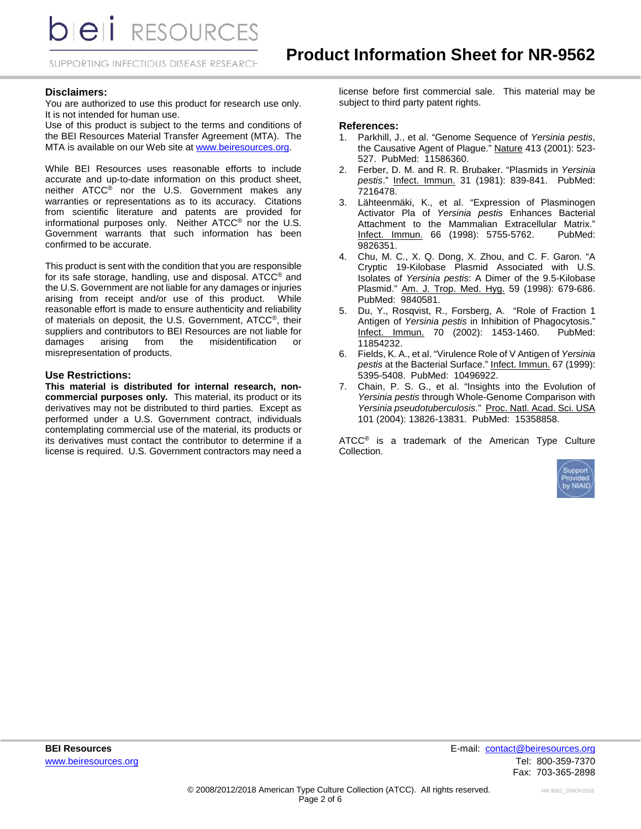**DIEII** RESOURCES

SUPPORTING INFECTIOUS DISEASE RESEARCH

#### **Disclaimers:**

You are authorized to use this product for research use only. It is not intended for human use.

Use of this product is subject to the terms and conditions of the BEI Resources Material Transfer Agreement (MTA). The MTA is available on our Web site at [www.beiresources.org.](http://www.beiresources.org/)

While BEI Resources uses reasonable efforts to include accurate and up-to-date information on this product sheet, neither ATCC® nor the U.S. Government makes any warranties or representations as to its accuracy. Citations from scientific literature and patents are provided for informational purposes only. Neither ATCC® nor the U.S. Government warrants that such information has been confirmed to be accurate.

This product is sent with the condition that you are responsible for its safe storage, handling, use and disposal. ATCC® and the U.S. Government are not liable for any damages or injuries arising from receipt and/or use of this product. While reasonable effort is made to ensure authenticity and reliability of materials on deposit, the U.S. Government, ATCC®, their suppliers and contributors to BEI Resources are not liable for damages arising from the misidentification or misrepresentation of products.

#### **Use Restrictions:**

**This material is distributed for internal research, noncommercial purposes only.** This material, its product or its derivatives may not be distributed to third parties. Except as performed under a U.S. Government contract, individuals contemplating commercial use of the material, its products or its derivatives must contact the contributor to determine if a license is required. U.S. Government contractors may need a

license before first commercial sale. This material may be subject to third party patent rights.

#### **References:**

- 1. Parkhill, J., et al. "Genome Sequence of *Yersinia pestis*, the Causative Agent of Plague." Nature 413 (2001): 523- 527. PubMed: 11586360.
- 2. Ferber, D. M. and R. R. Brubaker. "Plasmids in *Yersinia pestis*." Infect. Immun. 31 (1981): 839-841. PubMed: 7216478.
- 3. Lähteenmäki, K., et al. "Expression of Plasminogen Activator Pla of *Yersinia pestis* Enhances Bacterial Attachment to the Mammalian Extracellular Matrix." Infect. Immun. 66 (1998): 5755-5762. 9826351.
- 4. Chu, M. C., X. Q. Dong, X. Zhou, and C. F. Garon. "A Cryptic 19-Kilobase Plasmid Associated with U.S. Isolates of *Yersinia pestis*: A Dimer of the 9.5-Kilobase Plasmid." Am. J. Trop. Med. Hyg. 59 (1998): 679-686. PubMed: 9840581.
- 5. Du, Y., Rosqvist, R., Forsberg, A. "Role of Fraction 1 Antigen of *Yersinia pestis* in Inhibition of Phagocytosis." Infect. Immun. 70 (2002): 1453-1460. PubMed: 11854232.
- 6. Fields, K. A., et al. "Virulence Role of V Antigen of *Yersinia pestis* at the Bacterial Surface." Infect. Immun. 67 (1999): 5395-5408. PubMed: 10496922.
- 7. Chain, P. S. G., et al. "Insights into the Evolution of *Yersinia pestis* through Whole-Genome Comparison with *Yersinia pseudotuberculosis*." Proc. Natl. Acad. Sci. USA 101 (2004): 13826-13831. PubMed: 15358858.

ATCC<sup>®</sup> is a trademark of the American Type Culture Collection.

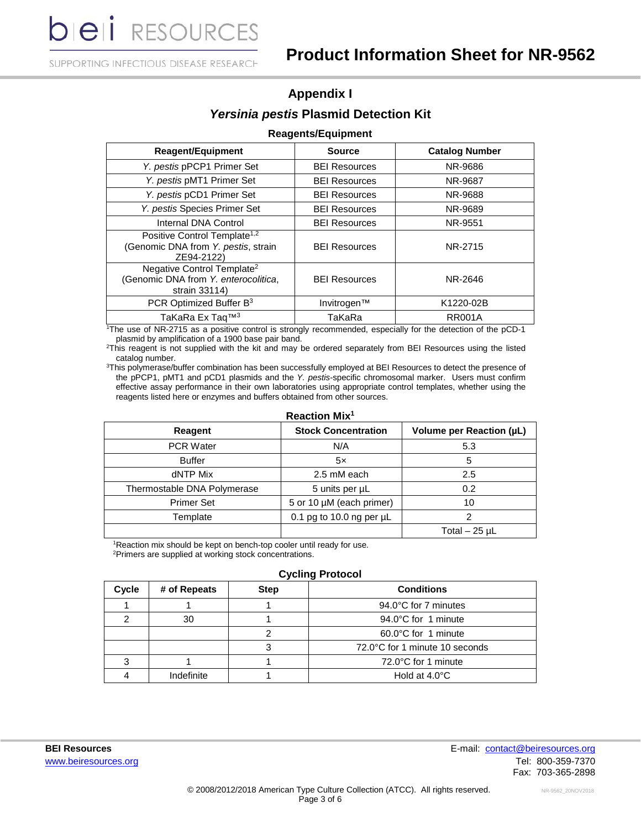**bieli** RESOURCES

SUPPORTING INFECTIOUS DISEASE RESEARCH

## **Appendix I** *Yersinia pestis* **Plasmid Detection Kit**

## **Reagents/Equipment**

| <b>Reagent/Equipment</b>                                                                        | <b>Source</b>        | <b>Catalog Number</b> |
|-------------------------------------------------------------------------------------------------|----------------------|-----------------------|
| Y. pestis pPCP1 Primer Set                                                                      | <b>BEI Resources</b> | NR-9686               |
| Y. pestis pMT1 Primer Set                                                                       | <b>BEI Resources</b> | NR-9687               |
| Y. pestis pCD1 Primer Set                                                                       | <b>BEI Resources</b> | NR-9688               |
| Y. pestis Species Primer Set                                                                    | <b>BEI Resources</b> | NR-9689               |
| Internal DNA Control                                                                            | <b>BEI Resources</b> | NR-9551               |
| Positive Control Template <sup>1,2</sup><br>(Genomic DNA from Y. pestis, strain<br>ZE94-2122)   | <b>BEI Resources</b> | NR-2715               |
| Negative Control Template <sup>2</sup><br>(Genomic DNA from Y. enterocolitica,<br>strain 33114) | <b>BEI Resources</b> | NR-2646               |
| PCR Optimized Buffer B <sup>3</sup>                                                             | Invitrogen™          | K1220-02B             |
| TaKaRa Ex Taq™ <sup>3</sup>                                                                     | TaKaRa               | <b>RR001A</b>         |

1 The use of NR-2715 as a positive control is strongly recommended, especially for the detection of the pCD-1 plasmid by amplification of a 1900 base pair band.

2 This reagent is not supplied with the kit and may be ordered separately from BEI Resources using the listed catalog number.

3 This polymerase/buffer combination has been successfully employed at BEI Resources to detect the presence of the pPCP1, pMT1 and pCD1 plasmids and the *Y. pestis*-specific chromosomal marker. Users must confirm effective assay performance in their own laboratories using appropriate control templates, whether using the reagents listed here or enzymes and buffers obtained from other sources.

| Reagent                     | <b>Stock Concentration</b>    | Volume per Reaction (µL) |
|-----------------------------|-------------------------------|--------------------------|
| <b>PCR Water</b>            | N/A                           | 5.3                      |
| <b>Buffer</b>               | 5x                            | 5                        |
| dNTP Mix                    | 2.5 mM each                   | 2.5                      |
| Thermostable DNA Polymerase | 5 units per µL                | 0.2                      |
| <b>Primer Set</b>           | 5 or 10 µM (each primer)      | 10                       |
| Template                    | 0.1 pg to 10.0 ng per $\mu$ L |                          |
|                             |                               | Total $-25$ µL           |

## **Reaction Mix1**

<sup>1</sup>Reaction mix should be kept on bench-top cooler until ready for use. 2 Primers are supplied at working stock concentrations.

#### **Cycling Protocol**

| Cycle | # of Repeats | <b>Step</b> | <b>Conditions</b>              |
|-------|--------------|-------------|--------------------------------|
|       |              |             | 94.0°C for 7 minutes           |
|       | 30           |             | 94.0°C for 1 minute            |
|       |              |             | 60.0°C for 1 minute            |
|       |              |             | 72.0°C for 1 minute 10 seconds |
|       |              |             | 72.0°C for 1 minute            |
|       | Indefinite   |             | Hold at $4.0^{\circ}$ C        |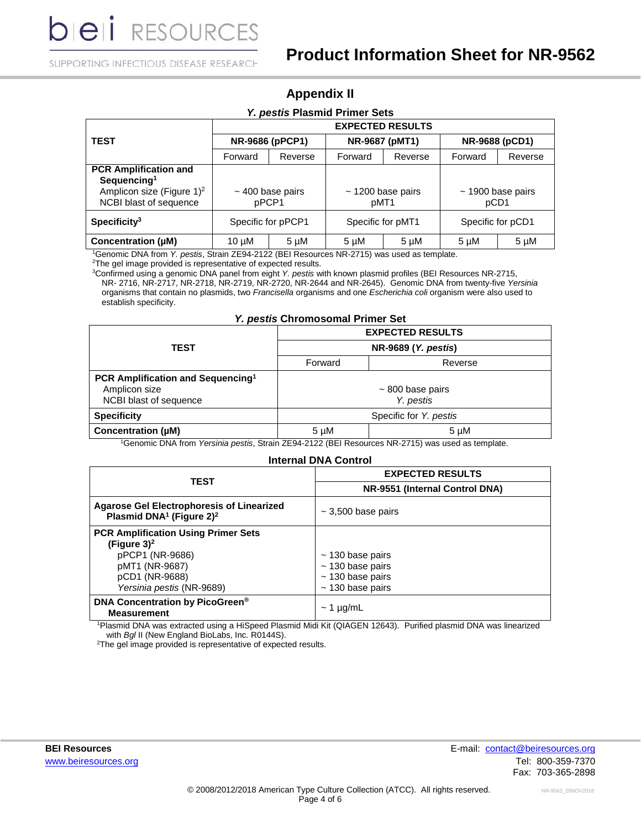**DIEI** RESOURCES

SUPPORTING INFECTIOUS DISEASE RESEARCH

| <b>Appendix II</b> |  |  |
|--------------------|--|--|
|--------------------|--|--|

| Y. pestis Plasmid Primer Sets                                                                                              |                         |                                |                   |                        |                   |                        |
|----------------------------------------------------------------------------------------------------------------------------|-------------------------|--------------------------------|-------------------|------------------------|-------------------|------------------------|
|                                                                                                                            | <b>EXPECTED RESULTS</b> |                                |                   |                        |                   |                        |
| <b>TEST</b>                                                                                                                | NR-9686 (pPCP1)         |                                | NR-9687 (pMT1)    |                        | NR-9688 (pCD1)    |                        |
|                                                                                                                            | Forward                 | Reverse                        | Forward           | Reverse                | Forward           | Reverse                |
| <b>PCR Amplification and</b><br>Sequencing <sup>1</sup><br>Amplicon size (Figure 1) <sup>2</sup><br>NCBI blast of sequence |                         | $\sim$ 400 base pairs<br>pPCP1 | pMT1              | $\sim$ 1200 base pairs | pCD1              | $\sim$ 1900 base pairs |
| $S$ pecificity <sup>3</sup>                                                                                                | Specific for pPCP1      |                                | Specific for pMT1 |                        | Specific for pCD1 |                        |
| Concentration (µM)                                                                                                         | $10 \mu M$              | $5 \mu M$                      | 5 µM              | $5 \mu M$              | 5 µM              | $5 \mu M$              |

1 Genomic DNA from *Y. pestis*, Strain ZE94-2122 (BEI Resources NR-2715) was used as template.

<sup>2</sup>The gel image provided is representative of expected results.

3 Confirmed using a genomic DNA panel from eight *Y. pestis* with known plasmid profiles (BEI Resources NR-2715, NR- 2716, NR-2717, NR-2718, NR-2719, NR-2720, NR-2644 and NR-2645). Genomic DNA from twenty-five *Yersinia* organisms that contain no plasmids, two *Francisella* organisms and one *Escherichia coli* organism were also used to establish specificity.

### *Y. pestis* **Chromosomal Primer Set**

|                                               | <b>EXPECTED RESULTS</b> |                     |  |
|-----------------------------------------------|-------------------------|---------------------|--|
| <b>TEST</b>                                   |                         | NR-9689 (Y. pestis) |  |
|                                               | Forward                 | Reverse             |  |
| PCR Amplification and Sequencing <sup>1</sup> |                         |                     |  |
| Amplicon size                                 | $\sim$ 800 base pairs   |                     |  |
| NCBI blast of sequence                        | Y. pestis               |                     |  |
| <b>Specificity</b>                            | Specific for Y. pestis  |                     |  |
| Concentration (µM)<br>.<br>.                  | $5 \mu M$               | $5 \mu M$           |  |

1 Genomic DNA from *Yersinia pestis*, Strain ZE94-2122 (BEI Resources NR-2715) was used as template.

## **Internal DNA Control**

| <b>TEST</b>                                                                                                         | <b>EXPECTED RESULTS</b>                                                 |  |  |
|---------------------------------------------------------------------------------------------------------------------|-------------------------------------------------------------------------|--|--|
|                                                                                                                     | NR-9551 (Internal Control DNA)                                          |  |  |
| <b>Agarose Gel Electrophoresis of Linearized</b><br>Plasmid DNA <sup>1</sup> (Figure $2)^2$                         | $\sim$ 3,500 base pairs                                                 |  |  |
| <b>PCR Amplification Using Primer Sets</b><br>(Figure $3)^2$<br>pPCP1 (NR-9686)<br>pMT1 (NR-9687)<br>pCD1 (NR-9688) | $\sim$ 130 base pairs<br>$\sim$ 130 base pairs<br>$\sim$ 130 base pairs |  |  |
| Yersinia pestis (NR-9689)                                                                                           | $\sim$ 130 base pairs                                                   |  |  |
| DNA Concentration by PicoGreen <sup>®</sup><br><b>Measurement</b>                                                   | $\sim$ 1 µg/mL                                                          |  |  |

1 Plasmid DNA was extracted using a HiSpeed Plasmid Midi Kit (QIAGEN 12643). Purified plasmid DNA was linearized with *Bgl* II (New England BioLabs, Inc. R0144S).

<sup>2</sup>The gel image provided is representative of expected results.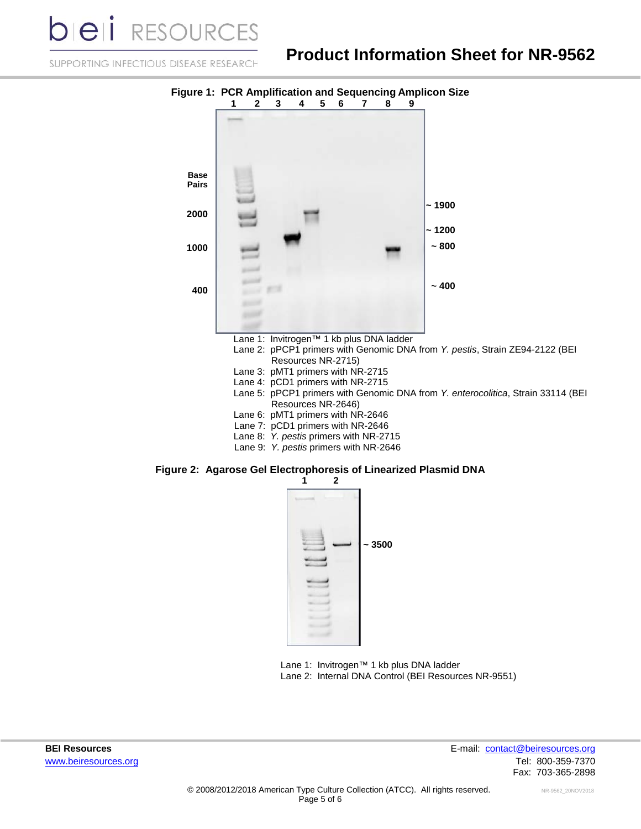**DIEII** RESOURCE

# **Product Information Sheet for NR-9562**

SUPPORTING INFECTIOUS DISEASE RESEARCH



- Lane 1: Invitrogen™ 1 kb plus DNA ladder
- Lane 2: pPCP1 primers with Genomic DNA from *Y. pestis*, Strain ZE94-2122 (BEI Resources NR-2715)
- Lane 3: pMT1 primers with NR-2715
- Lane 4: pCD1 primers with NR-2715
- Lane 5: pPCP1 primers with Genomic DNA from *Y. enterocolitica*, Strain 33114 (BEI Resources NR-2646)
- Lane 6: pMT1 primers with NR-2646
- Lane 7: pCD1 primers with NR-2646
- Lane 8: *Y. pestis* primers with NR-2715
- Lane 9: *Y. pestis* primers with NR-2646

## **Figure 2: Agarose Gel Electrophoresis of Linearized Plasmid DNA**



Lane 1: Invitrogen™ 1 kb plus DNA ladder Lane 2: Internal DNA Control (BEI Resources NR-9551)